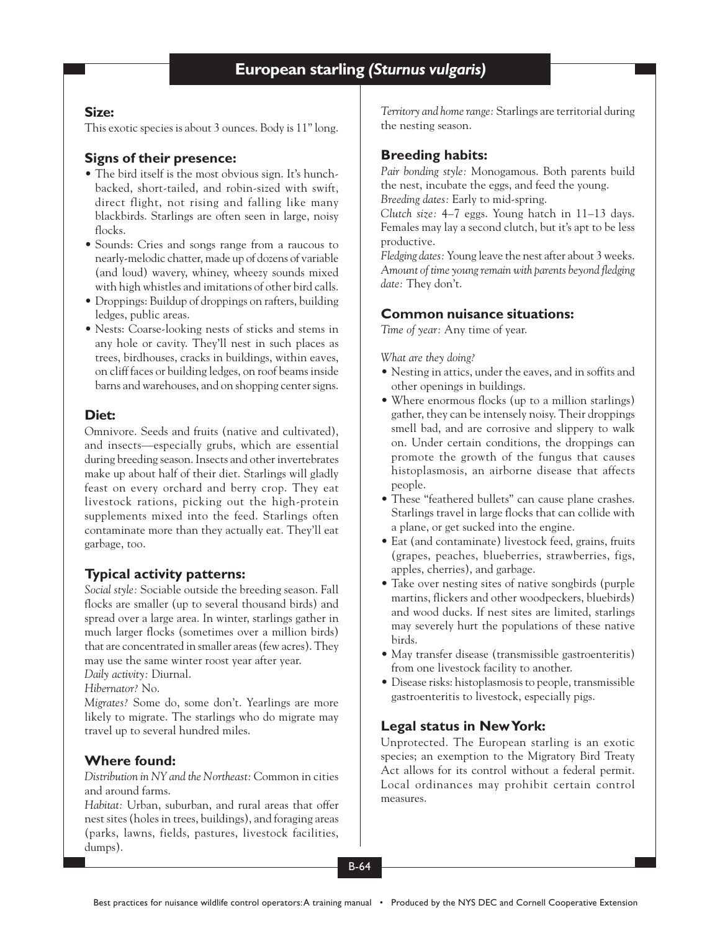## **Size:**

This exotic species is about 3 ounces. Body is 11" long.

# **Signs of their presence:**

- The bird itself is the most obvious sign. It's hunchbacked, short-tailed, and robin-sized with swift, direct flight, not rising and falling like many blackbirds. Starlings are often seen in large, noisy flocks.
- Sounds: Cries and songs range from a raucous to nearly-melodic chatter, made up of dozens of variable (and loud) wavery, whiney, wheezy sounds mixed with high whistles and imitations of other bird calls.
- Droppings: Buildup of droppings on rafters, building ledges, public areas.
- Nests: Coarse-looking nests of sticks and stems in any hole or cavity. They'll nest in such places as trees, birdhouses, cracks in buildings, within eaves, on cliff faces or building ledges, on roof beams inside barns and warehouses, and on shopping center signs.

# **Diet:**

Omnivore. Seeds and fruits (native and cultivated), and insects—especially grubs, which are essential during breeding season. Insects and other invertebrates make up about half of their diet. Starlings will gladly feast on every orchard and berry crop. They eat livestock rations, picking out the high-protein supplements mixed into the feed. Starlings often contaminate more than they actually eat. They'll eat garbage, too.

# **Typical activity patterns:**

*Social style:* Sociable outside the breeding season. Fall flocks are smaller (up to several thousand birds) and spread over a large area. In winter, starlings gather in much larger flocks (sometimes over a million birds) that are concentrated in smaller areas (few acres). They may use the same winter roost year after year. *Daily activity:* Diurnal.

*Hibernator?* No.

*Migrates?* Some do, some don't. Yearlings are more likely to migrate. The starlings who do migrate may travel up to several hundred miles.

## **Where found:**

*Distribution in NY and the Northeast:* Common in cities and around farms.

*Habitat:* Urban, suburban, and rural areas that offer nest sites (holes in trees, buildings), and foraging areas (parks, lawns, fields, pastures, livestock facilities, dumps).

*Territory and home range:* Starlings are territorial during the nesting season.

# **Breeding habits:**

*Pair bonding style:* Monogamous. Both parents build the nest, incubate the eggs, and feed the young. *Breeding dates:* Early to mid-spring.

*Clutch size:* 4–7 eggs. Young hatch in 11–13 days. Females may lay a second clutch, but it's apt to be less productive.

*Fledging dates:* Young leave the nest after about 3 weeks. *Amount of time young remain with parents beyond fledging date:* They don't.

# **Common nuisance situations:**

*Time of year:* Any time of year.

*What are they doing?*

- Nesting in attics, under the eaves, and in soffits and other openings in buildings.
- Where enormous flocks (up to a million starlings) gather, they can be intensely noisy. Their droppings smell bad, and are corrosive and slippery to walk on. Under certain conditions, the droppings can promote the growth of the fungus that causes histoplasmosis, an airborne disease that affects people.
- These "feathered bullets" can cause plane crashes. Starlings travel in large flocks that can collide with a plane, or get sucked into the engine.
- Eat (and contaminate) livestock feed, grains, fruits (grapes, peaches, blueberries, strawberries, figs, apples, cherries), and garbage.
- Take over nesting sites of native songbirds (purple martins, flickers and other woodpeckers, bluebirds) and wood ducks. If nest sites are limited, starlings may severely hurt the populations of these native birds.
- May transfer disease (transmissible gastroenteritis) from one livestock facility to another.
- Disease risks: histoplasmosis to people, transmissible gastroenteritis to livestock, especially pigs.

## **Legal status in New York:**

Unprotected. The European starling is an exotic species; an exemption to the Migratory Bird Treaty Act allows for its control without a federal permit. Local ordinances may prohibit certain control measures.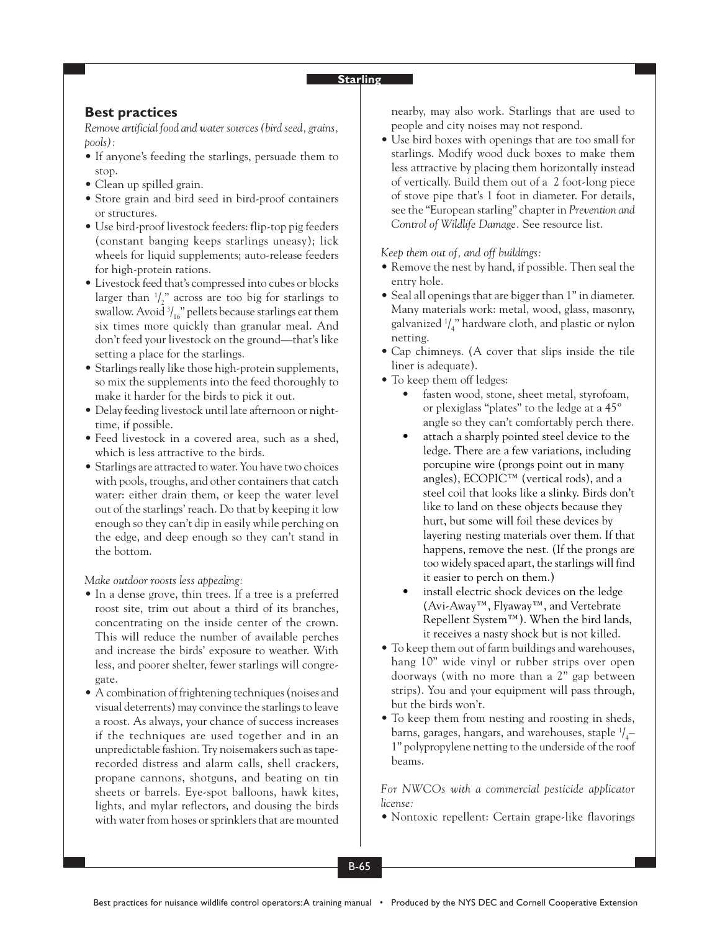#### **Starling**

### **Best practices**

*Remove artificial food and water sources (bird seed, grains, pools):*

- If anyone's feeding the starlings, persuade them to stop.
- Clean up spilled grain.
- Store grain and bird seed in bird-proof containers or structures.
- Use bird-proof livestock feeders: flip-top pig feeders (constant banging keeps starlings uneasy); lick wheels for liquid supplements; auto-release feeders for high-protein rations.
- Livestock feed that's compressed into cubes or blocks larger than  $\frac{1}{2}$ " across are too big for starlings to swallow. Avoid  $\frac{3}{16}$ " pellets because starlings eat them six times more quickly than granular meal. And don't feed your livestock on the ground—that's like setting a place for the starlings.
- Starlings really like those high-protein supplements, so mix the supplements into the feed thoroughly to make it harder for the birds to pick it out.
- Delay feeding livestock until late afternoon or nighttime, if possible.
- Feed livestock in a covered area, such as a shed, which is less attractive to the birds.
- Starlings are attracted to water. You have two choices with pools, troughs, and other containers that catch water: either drain them, or keep the water level out of the starlings' reach. Do that by keeping it low enough so they can't dip in easily while perching on the edge, and deep enough so they can't stand in the bottom.

*Make outdoor roosts less appealing:*

- In a dense grove, thin trees. If a tree is a preferred roost site, trim out about a third of its branches, concentrating on the inside center of the crown. This will reduce the number of available perches and increase the birds' exposure to weather. With less, and poorer shelter, fewer starlings will congregate.
- A combination of frightening techniques (noises and visual deterrents) may convince the starlings to leave a roost. As always, your chance of success increases if the techniques are used together and in an unpredictable fashion. Try noisemakers such as taperecorded distress and alarm calls, shell crackers, propane cannons, shotguns, and beating on tin sheets or barrels. Eye-spot balloons, hawk kites, lights, and mylar reflectors, and dousing the birds with water from hoses or sprinklers that are mounted

nearby, may also work. Starlings that are used to people and city noises may not respond.

• Use bird boxes with openings that are too small for starlings. Modify wood duck boxes to make them less attractive by placing them horizontally instead of vertically. Build them out of a 2 foot-long piece of stove pipe that's 1 foot in diameter. For details, see the "European starling" chapter in *Prevention and Control of Wildlife Damage.* See resource list.

*Keep them out of, and off buildings:*

- Remove the nest by hand, if possible. Then seal the entry hole.
- Seal all openings that are bigger than 1" in diameter. Many materials work: metal, wood, glass, masonry, galvanized  $\frac{1}{4}$ " hardware cloth, and plastic or nylon netting.
- Cap chimneys. (A cover that slips inside the tile liner is adequate).
- To keep them off ledges:
	- fasten wood, stone, sheet metal, styrofoam, or plexiglass "plates" to the ledge at a 45º angle so they can't comfortably perch there.
	- attach a sharply pointed steel device to the ledge. There are a few variations, including porcupine wire (prongs point out in many angles), ECOPIC™ (vertical rods), and a steel coil that looks like a slinky. Birds don't like to land on these objects because they hurt, but some will foil these devices by layering nesting materials over them. If that happens, remove the nest. (If the prongs are too widely spaced apart, the starlings will find it easier to perch on them.)
	- install electric shock devices on the ledge (Avi-Away™, Flyaway™, and Vertebrate Repellent System™). When the bird lands, it receives a nasty shock but is not killed.
- To keep them out of farm buildings and warehouses, hang 10" wide vinyl or rubber strips over open doorways (with no more than a 2" gap between strips). You and your equipment will pass through, but the birds won't.
- To keep them from nesting and roosting in sheds, barns, garages, hangars, and warehouses, staple  $\frac{1}{4}$ 1" polypropylene netting to the underside of the roof beams.

*For NWCOs with a commercial pesticide applicator license:*

• Nontoxic repellent: Certain grape-like flavorings